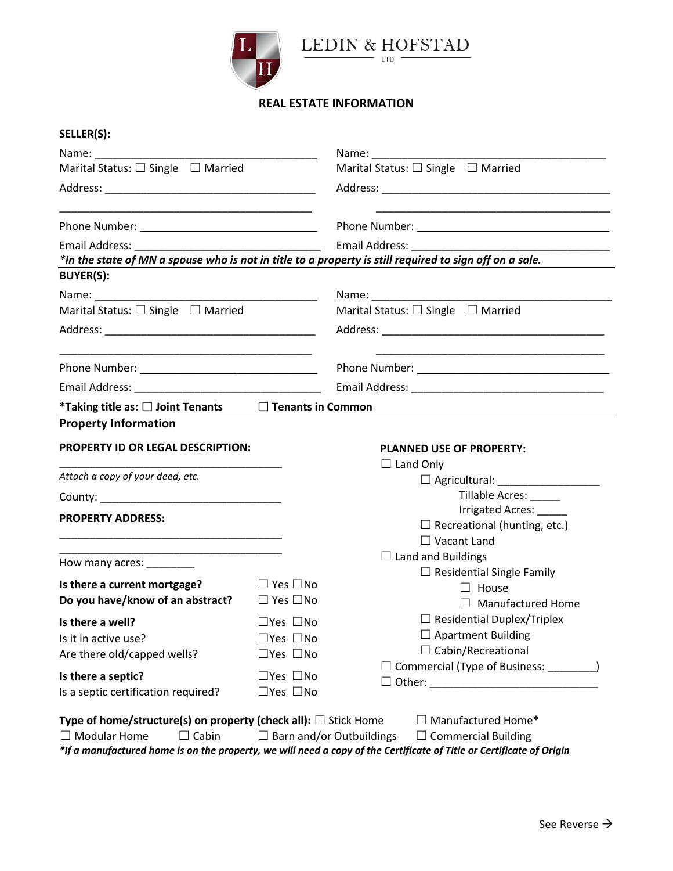



## **REAL ESTATE INFORMATION**

| SELLER(S):                                                                                                                                       |                      |                                                                                                         |  |  |
|--------------------------------------------------------------------------------------------------------------------------------------------------|----------------------|---------------------------------------------------------------------------------------------------------|--|--|
|                                                                                                                                                  |                      |                                                                                                         |  |  |
| Marital Status: $\square$ Single $\square$ Married                                                                                               |                      | Marital Status: $\square$ Single $\square$ Married                                                      |  |  |
|                                                                                                                                                  |                      |                                                                                                         |  |  |
|                                                                                                                                                  |                      |                                                                                                         |  |  |
|                                                                                                                                                  |                      |                                                                                                         |  |  |
|                                                                                                                                                  |                      | *In the state of MN a spouse who is not in title to a property is still required to sign off on a sale. |  |  |
| <b>BUYER(S):</b>                                                                                                                                 |                      |                                                                                                         |  |  |
|                                                                                                                                                  |                      |                                                                                                         |  |  |
| Marital Status: $\square$ Single $\square$ Married                                                                                               |                      | Marital Status: $\square$ Single $\square$ Married                                                      |  |  |
|                                                                                                                                                  |                      |                                                                                                         |  |  |
|                                                                                                                                                  |                      |                                                                                                         |  |  |
|                                                                                                                                                  |                      |                                                                                                         |  |  |
| *Taking title as: $\square$ Joint Tenants $\square$ Tenants in Common                                                                            |                      |                                                                                                         |  |  |
| <b>Property Information</b>                                                                                                                      |                      |                                                                                                         |  |  |
|                                                                                                                                                  |                      |                                                                                                         |  |  |
| <b>PROPERTY ID OR LEGAL DESCRIPTION:</b>                                                                                                         |                      | <b>PLANNED USE OF PROPERTY:</b>                                                                         |  |  |
| Attach a copy of your deed, etc.                                                                                                                 |                      | $\Box$ Land Only                                                                                        |  |  |
|                                                                                                                                                  |                      | Tillable Acres: _____                                                                                   |  |  |
|                                                                                                                                                  |                      | Irrigated Acres: _____                                                                                  |  |  |
| <b>PROPERTY ADDRESS:</b>                                                                                                                         |                      | $\Box$ Recreational (hunting, etc.)                                                                     |  |  |
|                                                                                                                                                  |                      | $\Box$ Vacant Land                                                                                      |  |  |
| <u> 1989 - Johann John Stein, markin fan it ferstjer fan it ferstjer fan it ferstjer fan it ferstjer fan it fers</u><br>How many acres: ________ |                      | $\Box$ Land and Buildings                                                                               |  |  |
|                                                                                                                                                  |                      | $\Box$ Residential Single Family                                                                        |  |  |
| Is there a current mortgage?<br>Do you have/know of an abstract? $\Box$ Yes $\Box$ No                                                            | $\Box$ Yes $\Box$ No | $\Box$ House                                                                                            |  |  |
|                                                                                                                                                  |                      | $\Box$ Manufactured Home                                                                                |  |  |
| Is there a well? $\Box$ Yes $\Box$ No                                                                                                            |                      | $\Box$ Residential Duplex/Triplex                                                                       |  |  |
| Is it in active use?                                                                                                                             | $\Box$ Yes $\Box$ No | $\Box$ Apartment Building<br>$\Box$ Cabin/Recreational                                                  |  |  |
| Are there old/capped wells?                                                                                                                      | $\Box$ Yes $\Box$ No | $\Box$ Commercial (Type of Business: $\Box$                                                             |  |  |
| Is there a septic?                                                                                                                               | $\Box$ Yes $\Box$ No |                                                                                                         |  |  |
| Is a septic certification required?                                                                                                              | $\Box$ Yes $\Box$ No |                                                                                                         |  |  |
|                                                                                                                                                  |                      |                                                                                                         |  |  |
| Type of home/structure(s) on property (check all): $\square$ Stick Home<br>$\Box$ Modular Home                                                   |                      | $\Box$ Manufactured Home*                                                                               |  |  |
| $\Box$ Cabin                                                                                                                                     | $\Box$               | Barn and/or Outbuildings<br>$\Box$ Commercial Building                                                  |  |  |

*\*If a manufactured home is on the property, we will need a copy of the Certificate of Title or Certificate of Origin*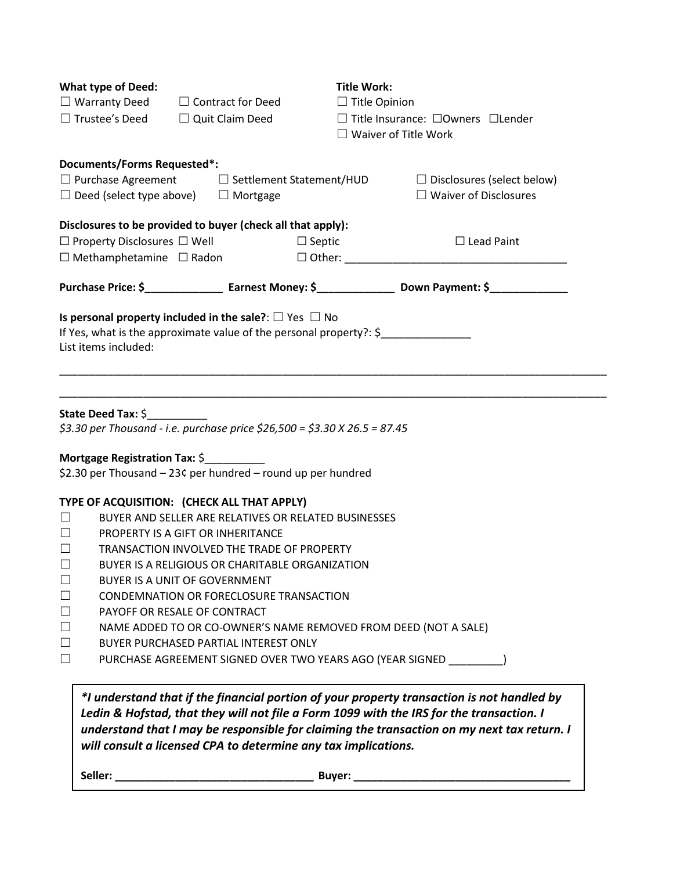|                                                    | <b>Title Work:</b>                                                                                                                                                                                                                                                                                                                 |  |
|----------------------------------------------------|------------------------------------------------------------------------------------------------------------------------------------------------------------------------------------------------------------------------------------------------------------------------------------------------------------------------------------|--|
| $\Box$ Warranty Deed $\Box$ Contract for Deed      | $\Box$ Title Opinion                                                                                                                                                                                                                                                                                                               |  |
| $\square$ Trustee's Deed<br>$\Box$ Quit Claim Deed | $\Box$ Title Insurance: $\Box$ Owners $\Box$ Lender                                                                                                                                                                                                                                                                                |  |
|                                                    | $\Box$ Waiver of Title Work                                                                                                                                                                                                                                                                                                        |  |
| <b>Documents/Forms Requested*:</b>                 | $\Box$ Disclosures (select below)                                                                                                                                                                                                                                                                                                  |  |
| $\Box$ Deed (select type above)<br>$\Box$ Mortgage | $\Box$ Waiver of Disclosures                                                                                                                                                                                                                                                                                                       |  |
|                                                    | $\Box$ Lead Paint                                                                                                                                                                                                                                                                                                                  |  |
| $\Box$ Methamphetamine $\Box$ Radon                |                                                                                                                                                                                                                                                                                                                                    |  |
|                                                    | Purchase Price: \$_______________________ Earnest Money: \$______________________Down Payment: \$_______________                                                                                                                                                                                                                   |  |
|                                                    |                                                                                                                                                                                                                                                                                                                                    |  |
|                                                    | $\Box$ Purchase Agreement $\Box$ Settlement Statement/HUD<br>Disclosures to be provided to buyer (check all that apply):<br>$\Box$ Property Disclosures $\Box$ Well $\Box$ Septic<br>Is personal property included in the sale?: $\square$ Yes $\square$ No<br>If Yes, what is the approximate value of the personal property?: \$ |  |

\_\_\_\_\_\_\_\_\_\_\_\_\_\_\_\_\_\_\_\_\_\_\_\_\_\_\_\_\_\_\_\_\_\_\_\_\_\_\_\_\_\_\_\_\_\_\_\_\_\_\_\_\_\_\_\_\_\_\_\_\_\_\_\_\_\_\_\_\_\_\_\_\_\_\_\_\_\_\_\_\_\_\_\_\_\_\_\_\_\_\_

## **State Deed Tax:** \$\_\_\_\_\_\_\_\_\_\_

*\$3.30 per Thousand - i.e. purchase price \$26,500 = \$3.30 X 26.5 = 87.45*

## **Mortgage Registration Tax:** \$

\$2.30 per Thousand – 23¢ per hundred – round up per hundred

## **TYPE OF ACQUISITION: (CHECK ALL THAT APPLY)**

- ☐ BUYER AND SELLER ARE RELATIVES OR RELATED BUSINESSES
- ☐ PROPERTY IS A GIFT OR INHERITANCE
- ☐ TRANSACTION INVOLVED THE TRADE OF PROPERTY
- ☐ BUYER IS A RELIGIOUS OR CHARITABLE ORGANIZATION
- ☐ BUYER IS A UNIT OF GOVERNMENT
- ☐ CONDEMNATION OR FORECLOSURE TRANSACTION
- ☐ PAYOFF OR RESALE OF CONTRACT
- ☐ NAME ADDED TO OR CO-OWNER'S NAME REMOVED FROM DEED (NOT A SALE)
- ☐ BUYER PURCHASED PARTIAL INTEREST ONLY
- ☐ PURCHASE AGREEMENT SIGNED OVER TWO YEARS AGO (YEAR SIGNED \_\_\_\_\_\_\_\_\_)

*\*I understand that if the financial portion of your property transaction is not handled by Ledin & Hofstad, that they will not file a Form 1099 with the IRS for the transaction. I understand that I may be responsible for claiming the transaction on my next tax return. I will consult a licensed CPA to determine any tax implications.*

**Seller: \_\_\_\_\_\_\_\_\_\_\_\_\_\_\_\_\_\_\_\_\_\_\_\_\_\_\_\_\_\_\_\_\_ Buyer: \_\_\_\_\_\_\_\_\_\_\_\_\_\_\_\_\_\_\_\_\_\_\_\_\_\_\_\_\_\_\_\_\_\_\_\_**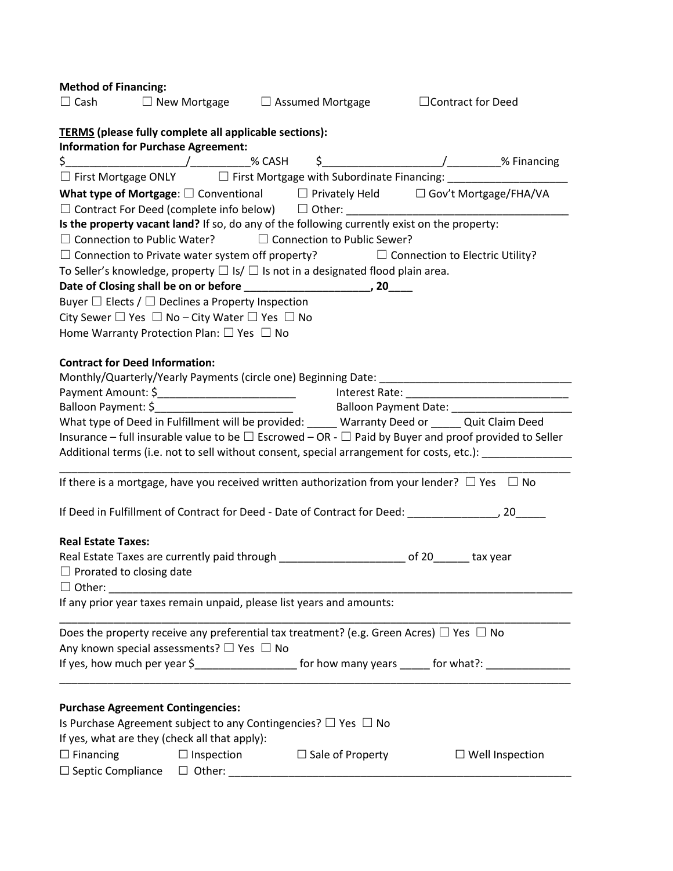| <b>Method of Financing:</b>                                                                                                                                                                                                                                                                                         |                         |                        |
|---------------------------------------------------------------------------------------------------------------------------------------------------------------------------------------------------------------------------------------------------------------------------------------------------------------------|-------------------------|------------------------|
| $\Box$ Cash $\Box$ New Mortgage $\Box$ Assumed Mortgage $\Box$ Contract for Deed                                                                                                                                                                                                                                    |                         |                        |
| <b>TERMS</b> (please fully complete all applicable sections):                                                                                                                                                                                                                                                       |                         |                        |
| <b>Information for Purchase Agreement:</b>                                                                                                                                                                                                                                                                          |                         |                        |
| $\frac{1}{2}$ $\frac{1}{2}$ $\frac{1}{2}$ $\frac{1}{2}$ $\frac{1}{2}$ $\frac{1}{2}$ $\frac{1}{2}$ $\frac{1}{2}$ $\frac{1}{2}$ $\frac{1}{2}$ $\frac{1}{2}$ $\frac{1}{2}$ $\frac{1}{2}$ $\frac{1}{2}$ $\frac{1}{2}$ $\frac{1}{2}$ $\frac{1}{2}$ $\frac{1}{2}$ $\frac{1}{2}$ $\frac{1}{2}$ $\frac{1}{2}$ $\frac{1}{2}$ |                         |                        |
| $\Box$ First Mortgage ONLY $\Box$ First Mortgage with Subordinate Financing: _______________________                                                                                                                                                                                                                |                         |                        |
| What type of Mortgage: $\square$ Conventional $\square$ Privately Held $\square$ Gov't Mortgage/FHA/VA                                                                                                                                                                                                              |                         |                        |
|                                                                                                                                                                                                                                                                                                                     |                         |                        |
| Is the property vacant land? If so, do any of the following currently exist on the property:                                                                                                                                                                                                                        |                         |                        |
| $\Box$ Connection to Public Water? $\Box$ Connection to Public Sewer?                                                                                                                                                                                                                                               |                         |                        |
| $\Box$ Connection to Private water system off property? $\Box$ Connection to Electric Utility?                                                                                                                                                                                                                      |                         |                        |
| To Seller's knowledge, property $\Box$ Is/ $\Box$ Is not in a designated flood plain area.                                                                                                                                                                                                                          |                         |                        |
|                                                                                                                                                                                                                                                                                                                     |                         |                        |
| Buyer $\Box$ Elects / $\Box$ Declines a Property Inspection                                                                                                                                                                                                                                                         |                         |                        |
| City Sewer $\Box$ Yes $\Box$ No – City Water $\Box$ Yes $\Box$ No                                                                                                                                                                                                                                                   |                         |                        |
| Home Warranty Protection Plan: $\square$ Yes $\square$ No                                                                                                                                                                                                                                                           |                         |                        |
| <b>Contract for Deed Information:</b>                                                                                                                                                                                                                                                                               |                         |                        |
|                                                                                                                                                                                                                                                                                                                     |                         |                        |
|                                                                                                                                                                                                                                                                                                                     |                         |                        |
|                                                                                                                                                                                                                                                                                                                     |                         |                        |
| What type of Deed in Fulfillment will be provided: _____ Warranty Deed or _____ Quit Claim Deed                                                                                                                                                                                                                     |                         |                        |
| Insurance – full insurable value to be $\Box$ Escrowed – OR - $\Box$ Paid by Buyer and proof provided to Seller                                                                                                                                                                                                     |                         |                        |
| Additional terms (i.e. not to sell without consent, special arrangement for costs, etc.): ___________                                                                                                                                                                                                               |                         |                        |
|                                                                                                                                                                                                                                                                                                                     |                         |                        |
| If there is a mortgage, have you received written authorization from your lender? $\Box$ Yes $\Box$ No                                                                                                                                                                                                              |                         |                        |
|                                                                                                                                                                                                                                                                                                                     |                         |                        |
| <b>Real Estate Taxes:</b>                                                                                                                                                                                                                                                                                           |                         |                        |
| Real Estate Taxes are currently paid through _________________________ of 20_______ tax year                                                                                                                                                                                                                        |                         |                        |
| $\Box$ Prorated to closing date                                                                                                                                                                                                                                                                                     |                         |                        |
| $\Box$ Other:                                                                                                                                                                                                                                                                                                       |                         |                        |
| If any prior year taxes remain unpaid, please list years and amounts:                                                                                                                                                                                                                                               |                         |                        |
| Does the property receive any preferential tax treatment? (e.g. Green Acres) $\Box$ Yes $\Box$ No                                                                                                                                                                                                                   |                         |                        |
| Any known special assessments? $\square$ Yes $\square$ No                                                                                                                                                                                                                                                           |                         |                        |
| If yes, how much per year \$________________________ for how many years ______ for what?: ________________                                                                                                                                                                                                          |                         |                        |
|                                                                                                                                                                                                                                                                                                                     |                         |                        |
| <b>Purchase Agreement Contingencies:</b>                                                                                                                                                                                                                                                                            |                         |                        |
| Is Purchase Agreement subject to any Contingencies? $\Box$ Yes $\Box$ No                                                                                                                                                                                                                                            |                         |                        |
| If yes, what are they (check all that apply):                                                                                                                                                                                                                                                                       |                         |                        |
| $\Box$ Financing<br>$\Box$ Inspection                                                                                                                                                                                                                                                                               | $\Box$ Sale of Property | $\Box$ Well Inspection |
| $\Box$ Septic Compliance $\Box$ Other:                                                                                                                                                                                                                                                                              |                         |                        |